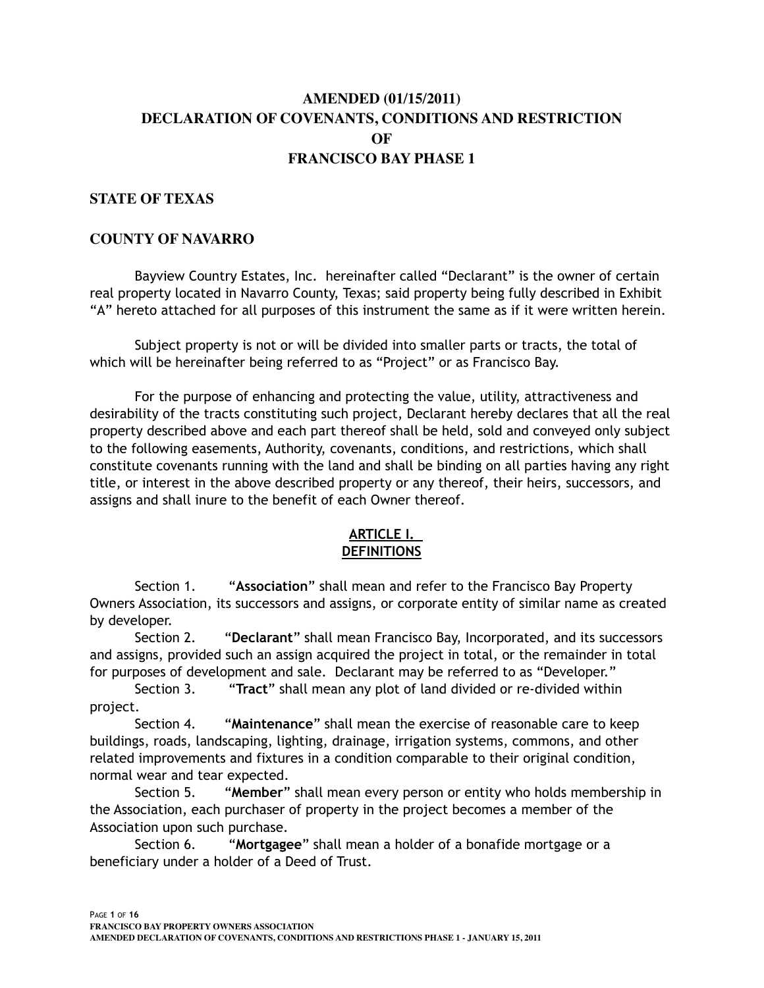# **AMENDED (01/15/2011) DECLARATION OF COVENANTS, CONDITIONS AND RESTRICTION OF FRANCISCO BAY PHASE 1**

## **STATE OF TEXAS**

#### **COUNTY OF NAVARRO**

Bayview Country Estates, Inc. hereinafter called "Declarant" is the owner of certain real property located in Navarro County, Texas; said property being fully described in Exhibit "A" hereto attached for all purposes of this instrument the same as if it were written herein.

 Subject property is not or will be divided into smaller parts or tracts, the total of which will be hereinafter being referred to as "Project" or as Francisco Bay.

 For the purpose of enhancing and protecting the value, utility, attractiveness and desirability of the tracts constituting such project, Declarant hereby declares that all the real property described above and each part thereof shall be held, sold and conveyed only subject to the following easements, Authority, covenants, conditions, and restrictions, which shall constitute covenants running with the land and shall be binding on all parties having any right title, or interest in the above described property or any thereof, their heirs, successors, and assigns and shall inure to the benefit of each Owner thereof.

## **ARTICLE I. DEFINITIONS**

Section 1. "**Association**" shall mean and refer to the Francisco Bay Property Owners Association, its successors and assigns, or corporate entity of similar name as created by developer.

Section 2. "**Declarant**" shall mean Francisco Bay, Incorporated, and its successors and assigns, provided such an assign acquired the project in total, or the remainder in total for purposes of development and sale. Declarant may be referred to as "Developer."

Section 3. "**Tract**" shall mean any plot of land divided or re-divided within project.

Section 4. "**Maintenance**" shall mean the exercise of reasonable care to keep buildings, roads, landscaping, lighting, drainage, irrigation systems, commons, and other related improvements and fixtures in a condition comparable to their original condition, normal wear and tear expected.

Section 5. "**Member**" shall mean every person or entity who holds membership in the Association, each purchaser of property in the project becomes a member of the Association upon such purchase.

Section 6. "**Mortgagee**" shall mean a holder of a bonafide mortgage or a beneficiary under a holder of a Deed of Trust.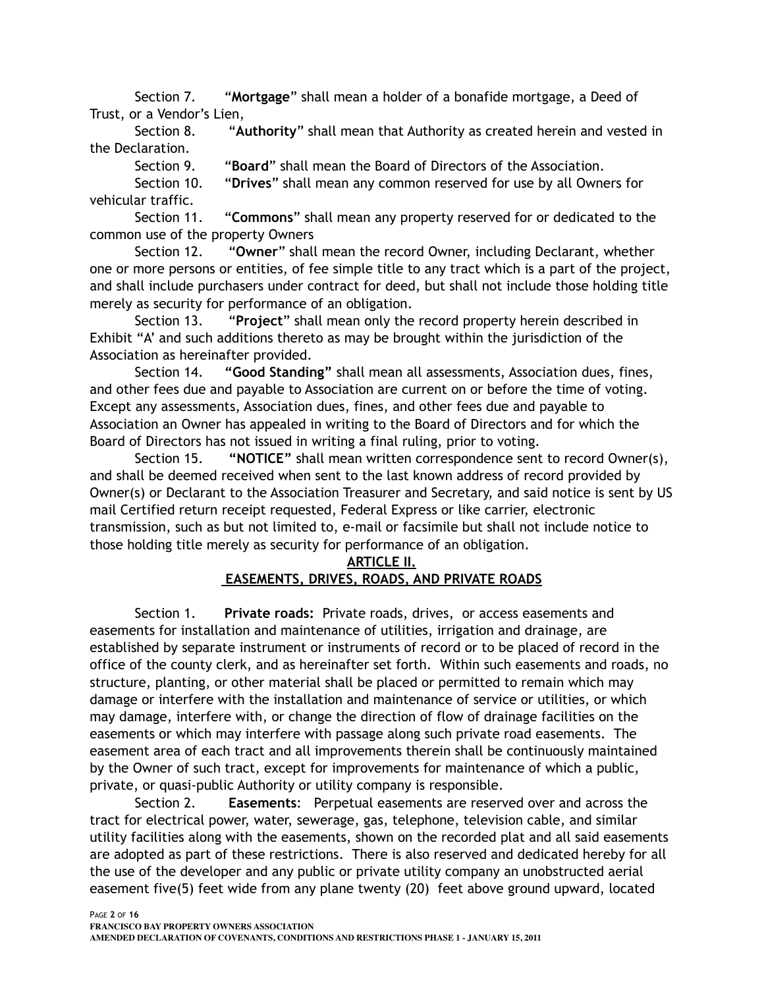Section 7. "**Mortgage**" shall mean a holder of a bonafide mortgage, a Deed of Trust, or a Vendor's Lien,

Section 8. "**Authority**" shall mean that Authority as created herein and vested in the Declaration.

Section 9. "**Board**" shall mean the Board of Directors of the Association.

Section 10. "**Drives**" shall mean any common reserved for use by all Owners for vehicular traffic.

Section 11. "**Commons**" shall mean any property reserved for or dedicated to the common use of the property Owners

Section 12. "**Owner**" shall mean the record Owner, including Declarant, whether one or more persons or entities, of fee simple title to any tract which is a part of the project, and shall include purchasers under contract for deed, but shall not include those holding title merely as security for performance of an obligation.

Section 13. "**Project**" shall mean only the record property herein described in Exhibit "A' and such additions thereto as may be brought within the jurisdiction of the Association as hereinafter provided.

Section 14. **"Good Standing"** shall mean all assessments, Association dues, fines, and other fees due and payable to Association are current on or before the time of voting. Except any assessments, Association dues, fines, and other fees due and payable to Association an Owner has appealed in writing to the Board of Directors and for which the Board of Directors has not issued in writing a final ruling, prior to voting.

Section 15. **"NOTICE"** shall mean written correspondence sent to record Owner(s), and shall be deemed received when sent to the last known address of record provided by Owner(s) or Declarant to the Association Treasurer and Secretary, and said notice is sent by US mail Certified return receipt requested, Federal Express or like carrier, electronic transmission, such as but not limited to, e-mail or facsimile but shall not include notice to those holding title merely as security for performance of an obligation.

## **ARTICLE II.**

# **EASEMENTS, DRIVES, ROADS, AND PRIVATE ROADS**

 Section 1. **Private roads:** Private roads, drives, or access easements and easements for installation and maintenance of utilities, irrigation and drainage, are established by separate instrument or instruments of record or to be placed of record in the office of the county clerk, and as hereinafter set forth. Within such easements and roads, no structure, planting, or other material shall be placed or permitted to remain which may damage or interfere with the installation and maintenance of service or utilities, or which may damage, interfere with, or change the direction of flow of drainage facilities on the easements or which may interfere with passage along such private road easements. The easement area of each tract and all improvements therein shall be continuously maintained by the Owner of such tract, except for improvements for maintenance of which a public, private, or quasi-public Authority or utility company is responsible.

 Section 2. **Easements**: Perpetual easements are reserved over and across the tract for electrical power, water, sewerage, gas, telephone, television cable, and similar utility facilities along with the easements, shown on the recorded plat and all said easements are adopted as part of these restrictions. There is also reserved and dedicated hereby for all the use of the developer and any public or private utility company an unobstructed aerial easement five(5) feet wide from any plane twenty (20) feet above ground upward, located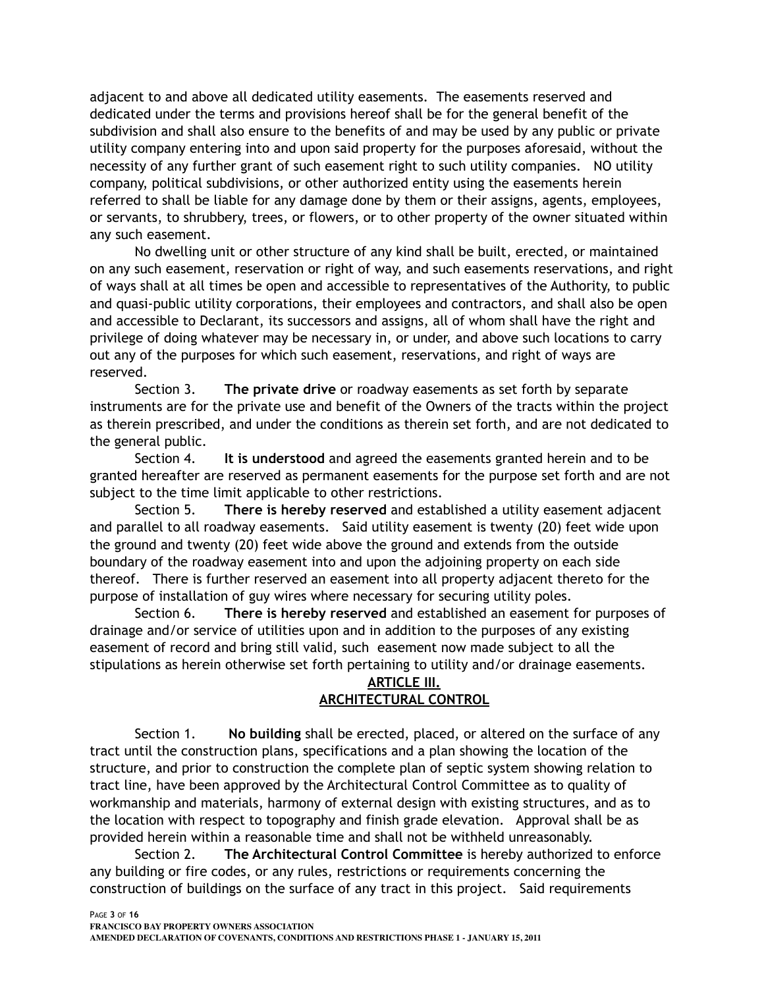adjacent to and above all dedicated utility easements. The easements reserved and dedicated under the terms and provisions hereof shall be for the general benefit of the subdivision and shall also ensure to the benefits of and may be used by any public or private utility company entering into and upon said property for the purposes aforesaid, without the necessity of any further grant of such easement right to such utility companies. NO utility company, political subdivisions, or other authorized entity using the easements herein referred to shall be liable for any damage done by them or their assigns, agents, employees, or servants, to shrubbery, trees, or flowers, or to other property of the owner situated within any such easement.

 No dwelling unit or other structure of any kind shall be built, erected, or maintained on any such easement, reservation or right of way, and such easements reservations, and right of ways shall at all times be open and accessible to representatives of the Authority, to public and quasi-public utility corporations, their employees and contractors, and shall also be open and accessible to Declarant, its successors and assigns, all of whom shall have the right and privilege of doing whatever may be necessary in, or under, and above such locations to carry out any of the purposes for which such easement, reservations, and right of ways are reserved.

 Section 3. **The private drive** or roadway easements as set forth by separate instruments are for the private use and benefit of the Owners of the tracts within the project as therein prescribed, and under the conditions as therein set forth, and are not dedicated to the general public.

Section 4. **It is understood** and agreed the easements granted herein and to be granted hereafter are reserved as permanent easements for the purpose set forth and are not subject to the time limit applicable to other restrictions.

 Section 5. **There is hereby reserved** and established a utility easement adjacent and parallel to all roadway easements. Said utility easement is twenty (20) feet wide upon the ground and twenty (20) feet wide above the ground and extends from the outside boundary of the roadway easement into and upon the adjoining property on each side thereof. There is further reserved an easement into all property adjacent thereto for the purpose of installation of guy wires where necessary for securing utility poles.

Section 6. **There is hereby reserved** and established an easement for purposes of drainage and/or service of utilities upon and in addition to the purposes of any existing easement of record and bring still valid, such easement now made subject to all the stipulations as herein otherwise set forth pertaining to utility and/or drainage easements.

## **ARTICLE III. ARCHITECTURAL CONTROL**

Section 1. **No building** shall be erected, placed, or altered on the surface of any tract until the construction plans, specifications and a plan showing the location of the structure, and prior to construction the complete plan of septic system showing relation to tract line, have been approved by the Architectural Control Committee as to quality of workmanship and materials, harmony of external design with existing structures, and as to the location with respect to topography and finish grade elevation. Approval shall be as provided herein within a reasonable time and shall not be withheld unreasonably.

Section 2. **The Architectural Control Committee** is hereby authorized to enforce any building or fire codes, or any rules, restrictions or requirements concerning the construction of buildings on the surface of any tract in this project. Said requirements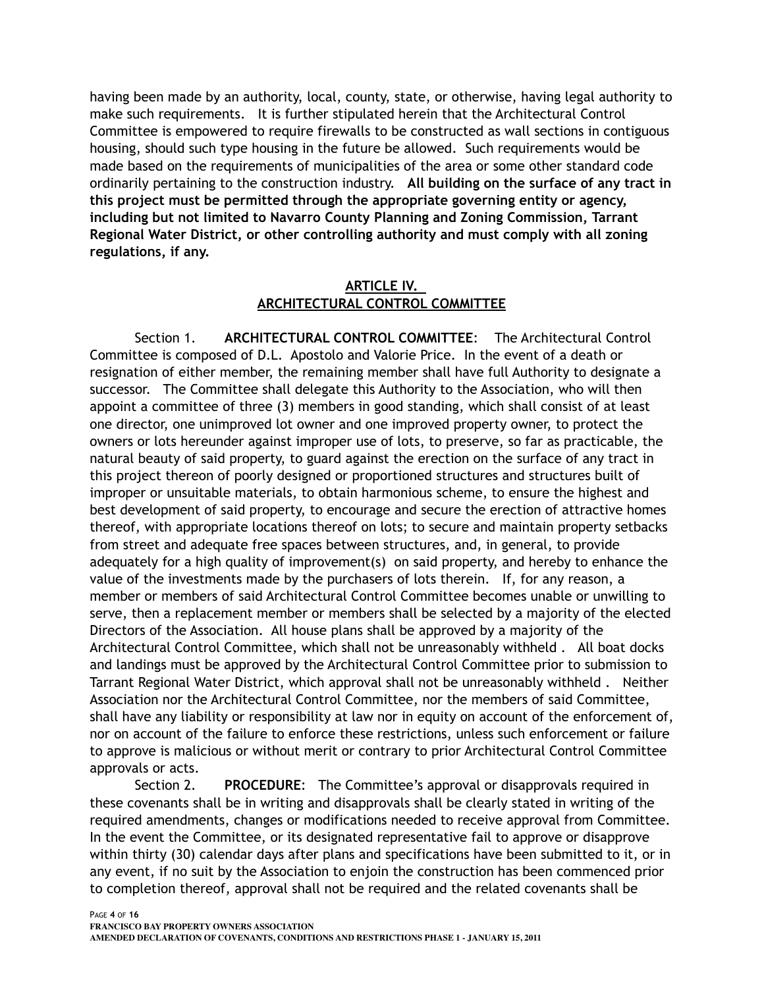having been made by an authority, local, county, state, or otherwise, having legal authority to make such requirements. It is further stipulated herein that the Architectural Control Committee is empowered to require firewalls to be constructed as wall sections in contiguous housing, should such type housing in the future be allowed. Such requirements would be made based on the requirements of municipalities of the area or some other standard code ordinarily pertaining to the construction industry. **All building on the surface of any tract in this project must be permitted through the appropriate governing entity or agency, including but not limited to Navarro County Planning and Zoning Commission, Tarrant Regional Water District, or other controlling authority and must comply with all zoning regulations, if any.**

# **ARTICLE IV. ARCHITECTURAL CONTROL COMMITTEE**

Section 1. **ARCHITECTURAL CONTROL COMMITTEE**: The Architectural Control Committee is composed of D.L. Apostolo and Valorie Price. In the event of a death or resignation of either member, the remaining member shall have full Authority to designate a successor. The Committee shall delegate this Authority to the Association, who will then appoint a committee of three (3) members in good standing, which shall consist of at least one director, one unimproved lot owner and one improved property owner, to protect the owners or lots hereunder against improper use of lots, to preserve, so far as practicable, the natural beauty of said property, to guard against the erection on the surface of any tract in this project thereon of poorly designed or proportioned structures and structures built of improper or unsuitable materials, to obtain harmonious scheme, to ensure the highest and best development of said property, to encourage and secure the erection of attractive homes thereof, with appropriate locations thereof on lots; to secure and maintain property setbacks from street and adequate free spaces between structures, and, in general, to provide adequately for a high quality of improvement(s) on said property, and hereby to enhance the value of the investments made by the purchasers of lots therein. If, for any reason, a member or members of said Architectural Control Committee becomes unable or unwilling to serve, then a replacement member or members shall be selected by a majority of the elected Directors of the Association. All house plans shall be approved by a majority of the Architectural Control Committee, which shall not be unreasonably withheld . All boat docks and landings must be approved by the Architectural Control Committee prior to submission to Tarrant Regional Water District, which approval shall not be unreasonably withheld . Neither Association nor the Architectural Control Committee, nor the members of said Committee, shall have any liability or responsibility at law nor in equity on account of the enforcement of, nor on account of the failure to enforce these restrictions, unless such enforcement or failure to approve is malicious or without merit or contrary to prior Architectural Control Committee approvals or acts.

Section 2. **PROCEDURE**: The Committee's approval or disapprovals required in these covenants shall be in writing and disapprovals shall be clearly stated in writing of the required amendments, changes or modifications needed to receive approval from Committee. In the event the Committee, or its designated representative fail to approve or disapprove within thirty (30) calendar days after plans and specifications have been submitted to it, or in any event, if no suit by the Association to enjoin the construction has been commenced prior to completion thereof, approval shall not be required and the related covenants shall be

**AMENDED DECLARATION OF COVENANTS, CONDITIONS AND RESTRICTIONS PHASE 1 - JANUARY 15, 2011**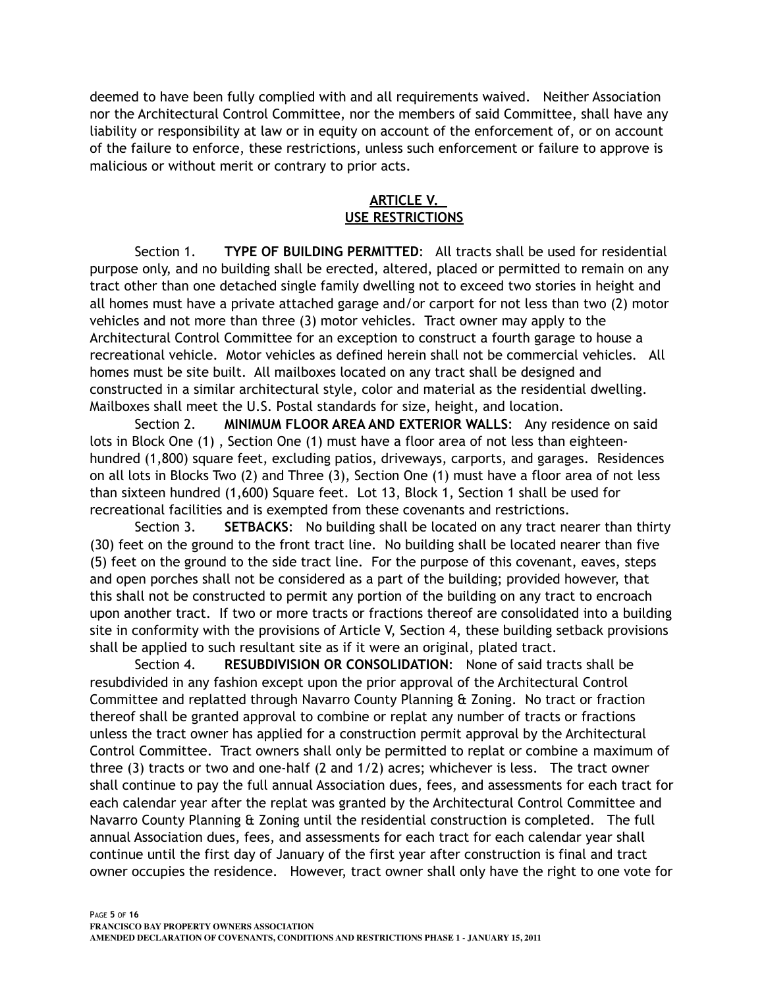deemed to have been fully complied with and all requirements waived. Neither Association nor the Architectural Control Committee, nor the members of said Committee, shall have any liability or responsibility at law or in equity on account of the enforcement of, or on account of the failure to enforce, these restrictions, unless such enforcement or failure to approve is malicious or without merit or contrary to prior acts.

# **ARTICLE V. USE RESTRICTIONS**

Section 1. **TYPE OF BUILDING PERMITTED**: All tracts shall be used for residential purpose only, and no building shall be erected, altered, placed or permitted to remain on any tract other than one detached single family dwelling not to exceed two stories in height and all homes must have a private attached garage and/or carport for not less than two (2) motor vehicles and not more than three (3) motor vehicles. Tract owner may apply to the Architectural Control Committee for an exception to construct a fourth garage to house a recreational vehicle. Motor vehicles as defined herein shall not be commercial vehicles. All homes must be site built. All mailboxes located on any tract shall be designed and constructed in a similar architectural style, color and material as the residential dwelling. Mailboxes shall meet the U.S. Postal standards for size, height, and location.

Section 2. **MINIMUM FLOOR AREA AND EXTERIOR WALLS**: Any residence on said lots in Block One (1) , Section One (1) must have a floor area of not less than eighteenhundred (1,800) square feet, excluding patios, driveways, carports, and garages. Residences on all lots in Blocks Two (2) and Three (3), Section One (1) must have a floor area of not less than sixteen hundred (1,600) Square feet. Lot 13, Block 1, Section 1 shall be used for recreational facilities and is exempted from these covenants and restrictions.

Section 3. **SETBACKS**: No building shall be located on any tract nearer than thirty (30) feet on the ground to the front tract line. No building shall be located nearer than five (5) feet on the ground to the side tract line. For the purpose of this covenant, eaves, steps and open porches shall not be considered as a part of the building; provided however, that this shall not be constructed to permit any portion of the building on any tract to encroach upon another tract. If two or more tracts or fractions thereof are consolidated into a building site in conformity with the provisions of Article V, Section 4, these building setback provisions shall be applied to such resultant site as if it were an original, plated tract.

Section 4. **RESUBDIVISION OR CONSOLIDATION**: None of said tracts shall be resubdivided in any fashion except upon the prior approval of the Architectural Control Committee and replatted through Navarro County Planning & Zoning. No tract or fraction thereof shall be granted approval to combine or replat any number of tracts or fractions unless the tract owner has applied for a construction permit approval by the Architectural Control Committee. Tract owners shall only be permitted to replat or combine a maximum of three (3) tracts or two and one-half (2 and 1/2) acres; whichever is less. The tract owner shall continue to pay the full annual Association dues, fees, and assessments for each tract for each calendar year after the replat was granted by the Architectural Control Committee and Navarro County Planning & Zoning until the residential construction is completed. The full annual Association dues, fees, and assessments for each tract for each calendar year shall continue until the first day of January of the first year after construction is final and tract owner occupies the residence. However, tract owner shall only have the right to one vote for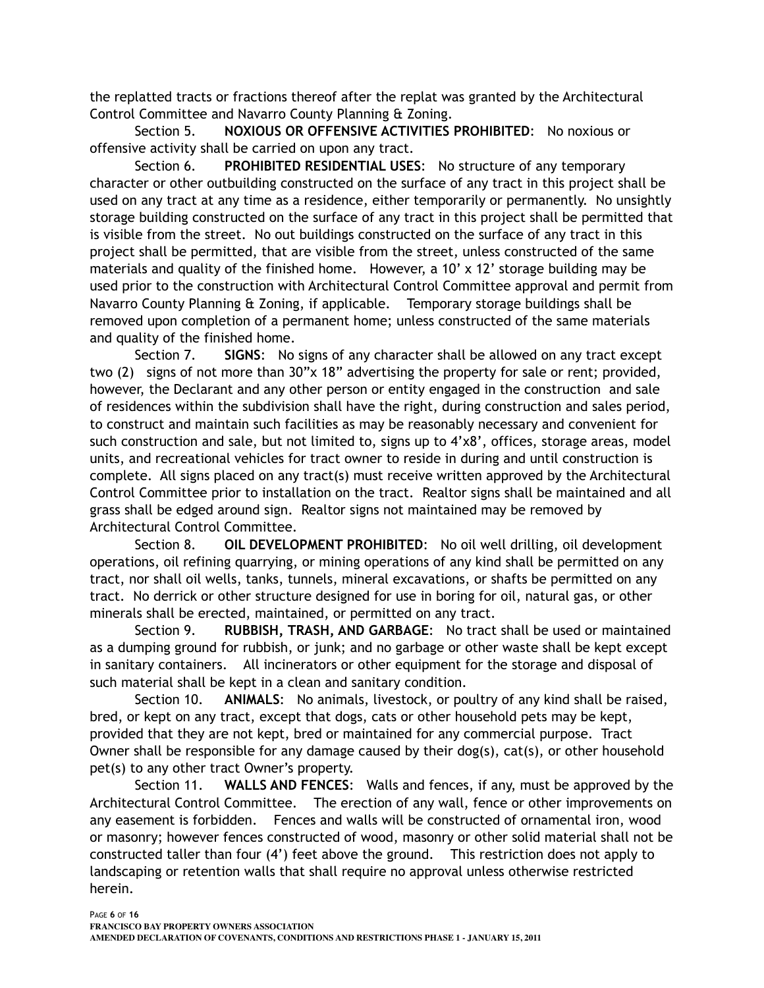the replatted tracts or fractions thereof after the replat was granted by the Architectural Control Committee and Navarro County Planning & Zoning.

Section 5. **NOXIOUS OR OFFENSIVE ACTIVITIES PROHIBITED**: No noxious or offensive activity shall be carried on upon any tract.

Section 6. **PROHIBITED RESIDENTIAL USES**: No structure of any temporary character or other outbuilding constructed on the surface of any tract in this project shall be used on any tract at any time as a residence, either temporarily or permanently. No unsightly storage building constructed on the surface of any tract in this project shall be permitted that is visible from the street. No out buildings constructed on the surface of any tract in this project shall be permitted, that are visible from the street, unless constructed of the same materials and quality of the finished home. However, a 10' x 12' storage building may be used prior to the construction with Architectural Control Committee approval and permit from Navarro County Planning & Zoning, if applicable. Temporary storage buildings shall be removed upon completion of a permanent home; unless constructed of the same materials and quality of the finished home.

Section 7. **SIGNS**: No signs of any character shall be allowed on any tract except two (2) signs of not more than 30"x 18" advertising the property for sale or rent; provided, however, the Declarant and any other person or entity engaged in the construction and sale of residences within the subdivision shall have the right, during construction and sales period, to construct and maintain such facilities as may be reasonably necessary and convenient for such construction and sale, but not limited to, signs up to 4'x8', offices, storage areas, model units, and recreational vehicles for tract owner to reside in during and until construction is complete. All signs placed on any tract(s) must receive written approved by the Architectural Control Committee prior to installation on the tract. Realtor signs shall be maintained and all grass shall be edged around sign. Realtor signs not maintained may be removed by Architectural Control Committee.

Section 8. **OIL DEVELOPMENT PROHIBITED**: No oil well drilling, oil development operations, oil refining quarrying, or mining operations of any kind shall be permitted on any tract, nor shall oil wells, tanks, tunnels, mineral excavations, or shafts be permitted on any tract. No derrick or other structure designed for use in boring for oil, natural gas, or other minerals shall be erected, maintained, or permitted on any tract.

Section 9. **RUBBISH, TRASH, AND GARBAGE**: No tract shall be used or maintained as a dumping ground for rubbish, or junk; and no garbage or other waste shall be kept except in sanitary containers. All incinerators or other equipment for the storage and disposal of such material shall be kept in a clean and sanitary condition.

Section 10. **ANIMALS**: No animals, livestock, or poultry of any kind shall be raised, bred, or kept on any tract, except that dogs, cats or other household pets may be kept, provided that they are not kept, bred or maintained for any commercial purpose. Tract Owner shall be responsible for any damage caused by their dog(s), cat(s), or other household pet(s) to any other tract Owner's property.

Section 11. **WALLS AND FENCES**: Walls and fences, if any, must be approved by the Architectural Control Committee. The erection of any wall, fence or other improvements on any easement is forbidden. Fences and walls will be constructed of ornamental iron, wood or masonry; however fences constructed of wood, masonry or other solid material shall not be constructed taller than four (4') feet above the ground. This restriction does not apply to landscaping or retention walls that shall require no approval unless otherwise restricted herein.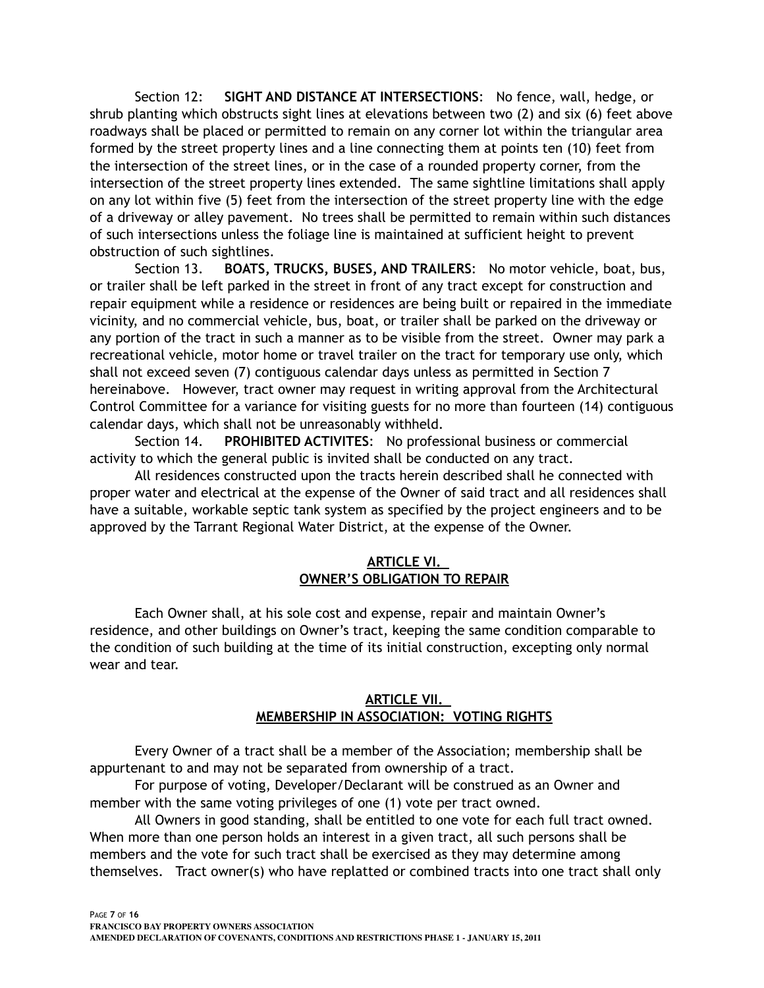Section 12: **SIGHT AND DISTANCE AT INTERSECTIONS**: No fence, wall, hedge, or shrub planting which obstructs sight lines at elevations between two (2) and six (6) feet above roadways shall be placed or permitted to remain on any corner lot within the triangular area formed by the street property lines and a line connecting them at points ten (10) feet from the intersection of the street lines, or in the case of a rounded property corner, from the intersection of the street property lines extended. The same sightline limitations shall apply on any lot within five (5) feet from the intersection of the street property line with the edge of a driveway or alley pavement. No trees shall be permitted to remain within such distances of such intersections unless the foliage line is maintained at sufficient height to prevent obstruction of such sightlines.

Section 13. **BOATS, TRUCKS, BUSES, AND TRAILERS**: No motor vehicle, boat, bus, or trailer shall be left parked in the street in front of any tract except for construction and repair equipment while a residence or residences are being built or repaired in the immediate vicinity, and no commercial vehicle, bus, boat, or trailer shall be parked on the driveway or any portion of the tract in such a manner as to be visible from the street. Owner may park a recreational vehicle, motor home or travel trailer on the tract for temporary use only, which shall not exceed seven (7) contiguous calendar days unless as permitted in Section 7 hereinabove. However, tract owner may request in writing approval from the Architectural Control Committee for a variance for visiting guests for no more than fourteen (14) contiguous calendar days, which shall not be unreasonably withheld.

Section 14. **PROHIBITED ACTIVITES**: No professional business or commercial activity to which the general public is invited shall be conducted on any tract.

All residences constructed upon the tracts herein described shall he connected with proper water and electrical at the expense of the Owner of said tract and all residences shall have a suitable, workable septic tank system as specified by the project engineers and to be approved by the Tarrant Regional Water District, at the expense of the Owner.

## **ARTICLE VI. OWNER'S OBLIGATION TO REPAIR**

Each Owner shall, at his sole cost and expense, repair and maintain Owner's residence, and other buildings on Owner's tract, keeping the same condition comparable to the condition of such building at the time of its initial construction, excepting only normal wear and tear.

## **ARTICLE VII. MEMBERSHIP IN ASSOCIATION: VOTING RIGHTS**

Every Owner of a tract shall be a member of the Association; membership shall be appurtenant to and may not be separated from ownership of a tract.

For purpose of voting, Developer/Declarant will be construed as an Owner and member with the same voting privileges of one (1) vote per tract owned.

All Owners in good standing, shall be entitled to one vote for each full tract owned. When more than one person holds an interest in a given tract, all such persons shall be members and the vote for such tract shall be exercised as they may determine among themselves. Tract owner(s) who have replatted or combined tracts into one tract shall only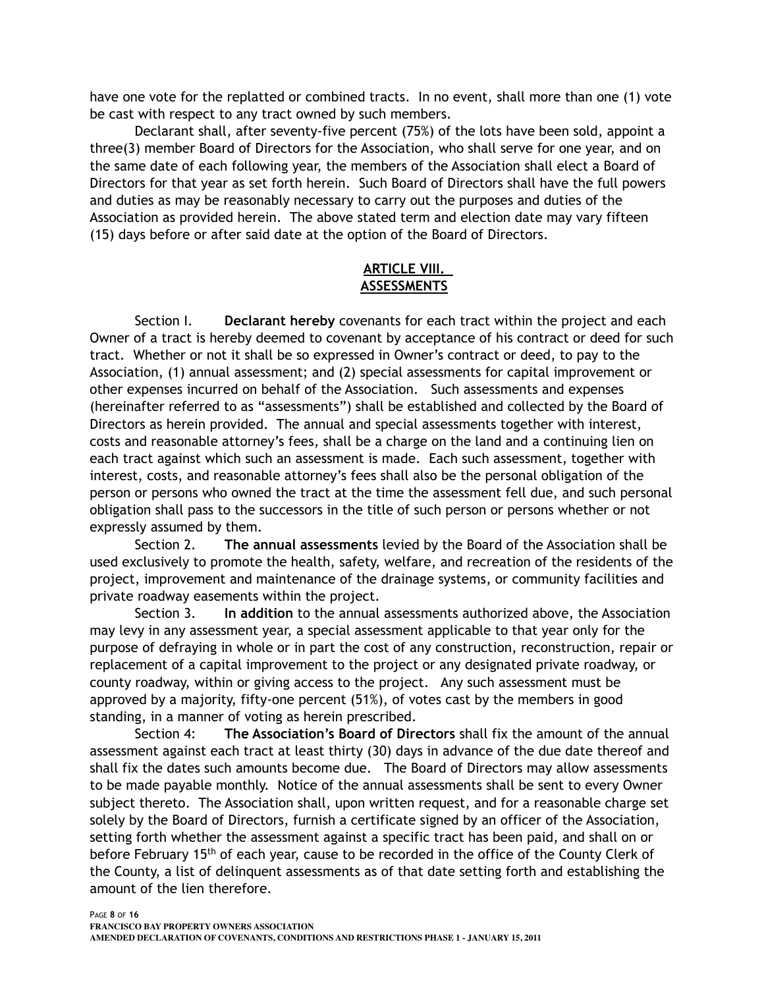have one vote for the replatted or combined tracts. In no event, shall more than one (1) vote be cast with respect to any tract owned by such members.

Declarant shall, after seventy-five percent (75%) of the lots have been sold, appoint a three(3) member Board of Directors for the Association, who shall serve for one year, and on the same date of each following year, the members of the Association shall elect a Board of Directors for that year as set forth herein. Such Board of Directors shall have the full powers and duties as may be reasonably necessary to carry out the purposes and duties of the Association as provided herein. The above stated term and election date may vary fifteen (15) days before or after said date at the option of the Board of Directors.

## **ARTICLE VIII. ASSESSMENTS**

Section I. **Declarant hereby** covenants for each tract within the project and each Owner of a tract is hereby deemed to covenant by acceptance of his contract or deed for such tract. Whether or not it shall be so expressed in Owner's contract or deed, to pay to the Association, (1) annual assessment; and (2) special assessments for capital improvement or other expenses incurred on behalf of the Association. Such assessments and expenses (hereinafter referred to as "assessments") shall be established and collected by the Board of Directors as herein provided. The annual and special assessments together with interest, costs and reasonable attorney's fees, shall be a charge on the land and a continuing lien on each tract against which such an assessment is made. Each such assessment, together with interest, costs, and reasonable attorney's fees shall also be the personal obligation of the person or persons who owned the tract at the time the assessment fell due, and such personal obligation shall pass to the successors in the title of such person or persons whether or not expressly assumed by them.

Section 2. **The annual assessments** levied by the Board of the Association shall be used exclusively to promote the health, safety, welfare, and recreation of the residents of the project, improvement and maintenance of the drainage systems, or community facilities and private roadway easements within the project.

Section 3. **In addition** to the annual assessments authorized above, the Association may levy in any assessment year, a special assessment applicable to that year only for the purpose of defraying in whole or in part the cost of any construction, reconstruction, repair or replacement of a capital improvement to the project or any designated private roadway, or county roadway, within or giving access to the project. Any such assessment must be approved by a majority, fifty-one percent (51%), of votes cast by the members in good standing, in a manner of voting as herein prescribed.

Section 4: **The Association's Board of Directors** shall fix the amount of the annual assessment against each tract at least thirty (30) days in advance of the due date thereof and shall fix the dates such amounts become due. The Board of Directors may allow assessments to be made payable monthly. Notice of the annual assessments shall be sent to every Owner subject thereto. The Association shall, upon written request, and for a reasonable charge set solely by the Board of Directors, furnish a certificate signed by an officer of the Association, setting forth whether the assessment against a specific tract has been paid, and shall on or before February 15<sup>th</sup> of each year, cause to be recorded in the office of the County Clerk of the County, a list of delinquent assessments as of that date setting forth and establishing the amount of the lien therefore.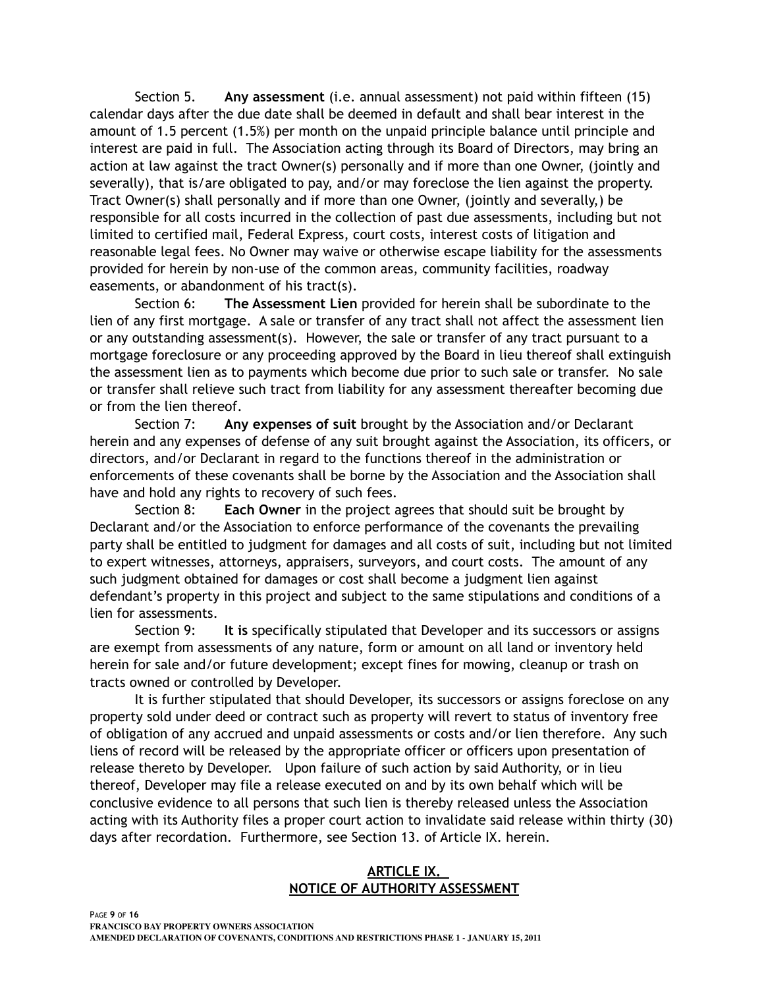Section 5. **Any assessment** (i.e. annual assessment) not paid within fifteen (15) calendar days after the due date shall be deemed in default and shall bear interest in the amount of 1.5 percent (1.5%) per month on the unpaid principle balance until principle and interest are paid in full. The Association acting through its Board of Directors, may bring an action at law against the tract Owner(s) personally and if more than one Owner, (jointly and severally), that is/are obligated to pay, and/or may foreclose the lien against the property. Tract Owner(s) shall personally and if more than one Owner, (jointly and severally,) be responsible for all costs incurred in the collection of past due assessments, including but not limited to certified mail, Federal Express, court costs, interest costs of litigation and reasonable legal fees. No Owner may waive or otherwise escape liability for the assessments provided for herein by non-use of the common areas, community facilities, roadway easements, or abandonment of his tract(s).

Section 6: **The Assessment Lien** provided for herein shall be subordinate to the lien of any first mortgage. A sale or transfer of any tract shall not affect the assessment lien or any outstanding assessment(s). However, the sale or transfer of any tract pursuant to a mortgage foreclosure or any proceeding approved by the Board in lieu thereof shall extinguish the assessment lien as to payments which become due prior to such sale or transfer. No sale or transfer shall relieve such tract from liability for any assessment thereafter becoming due or from the lien thereof.

Section 7: **Any expenses of suit** brought by the Association and/or Declarant herein and any expenses of defense of any suit brought against the Association, its officers, or directors, and/or Declarant in regard to the functions thereof in the administration or enforcements of these covenants shall be borne by the Association and the Association shall have and hold any rights to recovery of such fees.

Section 8: **Each Owner** in the project agrees that should suit be brought by Declarant and/or the Association to enforce performance of the covenants the prevailing party shall be entitled to judgment for damages and all costs of suit, including but not limited to expert witnesses, attorneys, appraisers, surveyors, and court costs. The amount of any such judgment obtained for damages or cost shall become a judgment lien against defendant's property in this project and subject to the same stipulations and conditions of a lien for assessments.

Section 9: **It is** specifically stipulated that Developer and its successors or assigns are exempt from assessments of any nature, form or amount on all land or inventory held herein for sale and/or future development; except fines for mowing, cleanup or trash on tracts owned or controlled by Developer.

It is further stipulated that should Developer, its successors or assigns foreclose on any property sold under deed or contract such as property will revert to status of inventory free of obligation of any accrued and unpaid assessments or costs and/or lien therefore. Any such liens of record will be released by the appropriate officer or officers upon presentation of release thereto by Developer. Upon failure of such action by said Authority, or in lieu thereof, Developer may file a release executed on and by its own behalf which will be conclusive evidence to all persons that such lien is thereby released unless the Association acting with its Authority files a proper court action to invalidate said release within thirty (30) days after recordation. Furthermore, see Section 13. of Article IX. herein.

## **ARTICLE IX. NOTICE OF AUTHORITY ASSESSMENT**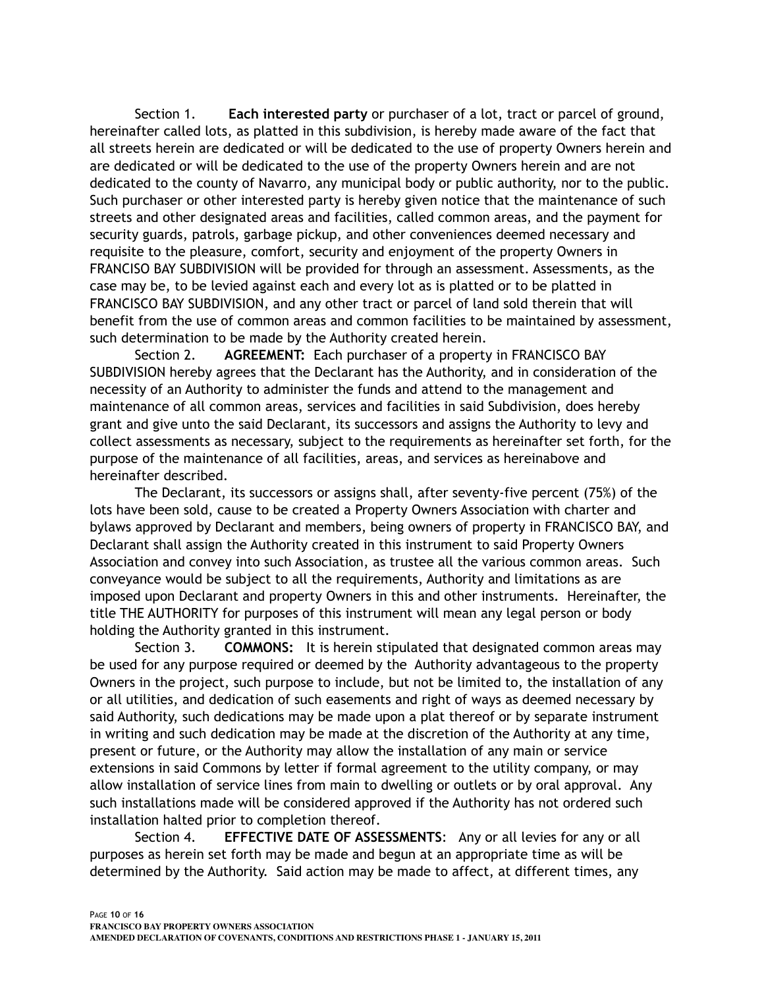Section 1. **Each interested party** or purchaser of a lot, tract or parcel of ground, hereinafter called lots, as platted in this subdivision, is hereby made aware of the fact that all streets herein are dedicated or will be dedicated to the use of property Owners herein and are dedicated or will be dedicated to the use of the property Owners herein and are not dedicated to the county of Navarro, any municipal body or public authority, nor to the public. Such purchaser or other interested party is hereby given notice that the maintenance of such streets and other designated areas and facilities, called common areas, and the payment for security guards, patrols, garbage pickup, and other conveniences deemed necessary and requisite to the pleasure, comfort, security and enjoyment of the property Owners in FRANCISO BAY SUBDIVISION will be provided for through an assessment. Assessments, as the case may be, to be levied against each and every lot as is platted or to be platted in FRANCISCO BAY SUBDIVISION, and any other tract or parcel of land sold therein that will benefit from the use of common areas and common facilities to be maintained by assessment, such determination to be made by the Authority created herein.

Section 2. **AGREEMENT:** Each purchaser of a property in FRANCISCO BAY SUBDIVISION hereby agrees that the Declarant has the Authority, and in consideration of the necessity of an Authority to administer the funds and attend to the management and maintenance of all common areas, services and facilities in said Subdivision, does hereby grant and give unto the said Declarant, its successors and assigns the Authority to levy and collect assessments as necessary, subject to the requirements as hereinafter set forth, for the purpose of the maintenance of all facilities, areas, and services as hereinabove and hereinafter described.

The Declarant, its successors or assigns shall, after seventy-five percent (75%) of the lots have been sold, cause to be created a Property Owners Association with charter and bylaws approved by Declarant and members, being owners of property in FRANCISCO BAY, and Declarant shall assign the Authority created in this instrument to said Property Owners Association and convey into such Association, as trustee all the various common areas. Such conveyance would be subject to all the requirements, Authority and limitations as are imposed upon Declarant and property Owners in this and other instruments. Hereinafter, the title THE AUTHORITY for purposes of this instrument will mean any legal person or body holding the Authority granted in this instrument.

Section 3. **COMMONS:** It is herein stipulated that designated common areas may be used for any purpose required or deemed by the Authority advantageous to the property Owners in the project, such purpose to include, but not be limited to, the installation of any or all utilities, and dedication of such easements and right of ways as deemed necessary by said Authority, such dedications may be made upon a plat thereof or by separate instrument in writing and such dedication may be made at the discretion of the Authority at any time, present or future, or the Authority may allow the installation of any main or service extensions in said Commons by letter if formal agreement to the utility company, or may allow installation of service lines from main to dwelling or outlets or by oral approval. Any such installations made will be considered approved if the Authority has not ordered such installation halted prior to completion thereof.

Section 4. **EFFECTIVE DATE OF ASSESSMENTS**: Any or all levies for any or all purposes as herein set forth may be made and begun at an appropriate time as will be determined by the Authority. Said action may be made to affect, at different times, any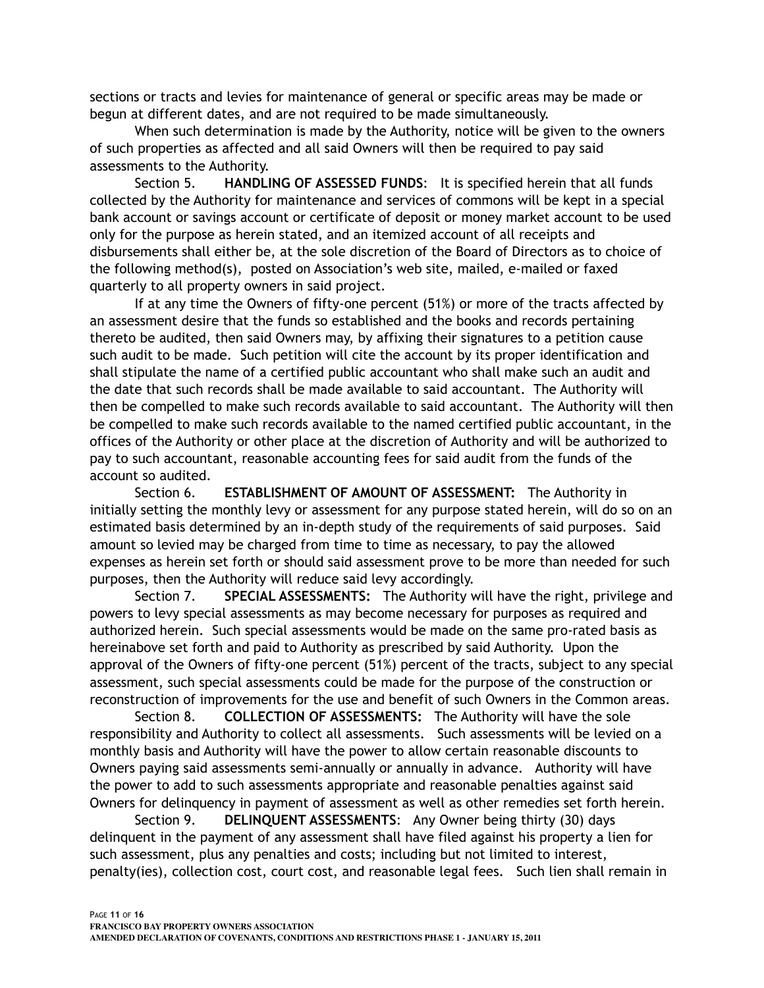sections or tracts and levies for maintenance of general or specific areas may be made or begun at different dates, and are not required to be made simultaneously.

When such determination is made by the Authority, notice will be given to the owners of such properties as affected and all said Owners will then be required to pay said assessments to the Authority.

Section 5. **HANDLING OF ASSESSED FUNDS**: It is specified herein that all funds collected by the Authority for maintenance and services of commons will be kept in a special bank account or savings account or certificate of deposit or money market account to be used only for the purpose as herein stated, and an itemized account of all receipts and disbursements shall either be, at the sole discretion of the Board of Directors as to choice of the following method(s), posted on Association's web site, mailed, e-mailed or faxed quarterly to all property owners in said project.

If at any time the Owners of fifty-one percent (51%) or more of the tracts affected by an assessment desire that the funds so established and the books and records pertaining thereto be audited, then said Owners may, by affixing their signatures to a petition cause such audit to be made. Such petition will cite the account by its proper identification and shall stipulate the name of a certified public accountant who shall make such an audit and the date that such records shall be made available to said accountant. The Authority will then be compelled to make such records available to said accountant. The Authority will then be compelled to make such records available to the named certified public accountant, in the offices of the Authority or other place at the discretion of Authority and will be authorized to pay to such accountant, reasonable accounting fees for said audit from the funds of the account so audited.

Section 6. **ESTABLISHMENT OF AMOUNT OF ASSESSMENT:** The Authority in initially setting the monthly levy or assessment for any purpose stated herein, will do so on an estimated basis determined by an in-depth study of the requirements of said purposes. Said amount so levied may be charged from time to time as necessary, to pay the allowed expenses as herein set forth or should said assessment prove to be more than needed for such purposes, then the Authority will reduce said levy accordingly.

Section 7. **SPECIAL ASSESSMENTS:** The Authority will have the right, privilege and powers to levy special assessments as may become necessary for purposes as required and authorized herein. Such special assessments would be made on the same pro-rated basis as hereinabove set forth and paid to Authority as prescribed by said Authority. Upon the approval of the Owners of fifty-one percent (51%) percent of the tracts, subject to any special assessment, such special assessments could be made for the purpose of the construction or reconstruction of improvements for the use and benefit of such Owners in the Common areas.

 Section 8. **COLLECTION OF ASSESSMENTS:** The Authority will have the sole responsibility and Authority to collect all assessments. Such assessments will be levied on a monthly basis and Authority will have the power to allow certain reasonable discounts to Owners paying said assessments semi-annually or annually in advance. Authority will have the power to add to such assessments appropriate and reasonable penalties against said Owners for delinquency in payment of assessment as well as other remedies set forth herein.

Section 9. **DELINQUENT ASSESSMENTS**: Any Owner being thirty (30) days delinquent in the payment of any assessment shall have filed against his property a lien for such assessment, plus any penalties and costs; including but not limited to interest, penalty(ies), collection cost, court cost, and reasonable legal fees. Such lien shall remain in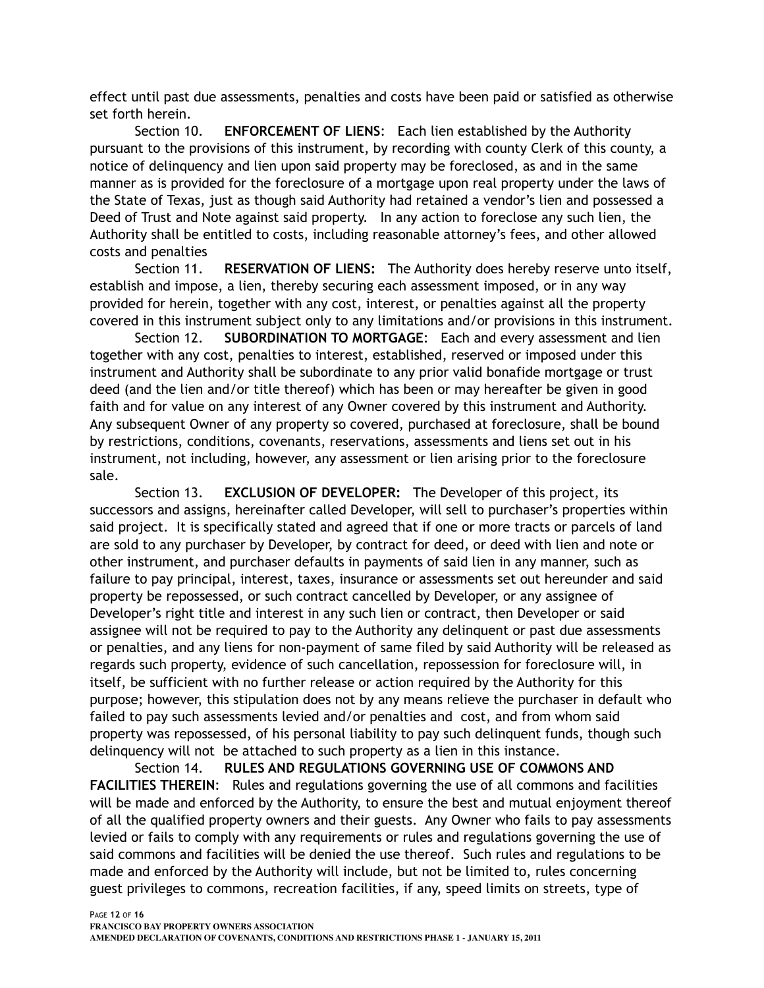effect until past due assessments, penalties and costs have been paid or satisfied as otherwise set forth herein.

Section 10. **ENFORCEMENT OF LIENS**: Each lien established by the Authority pursuant to the provisions of this instrument, by recording with county Clerk of this county, a notice of delinquency and lien upon said property may be foreclosed, as and in the same manner as is provided for the foreclosure of a mortgage upon real property under the laws of the State of Texas, just as though said Authority had retained a vendor's lien and possessed a Deed of Trust and Note against said property. In any action to foreclose any such lien, the Authority shall be entitled to costs, including reasonable attorney's fees, and other allowed costs and penalties

Section 11. **RESERVATION OF LIENS:** The Authority does hereby reserve unto itself, establish and impose, a lien, thereby securing each assessment imposed, or in any way provided for herein, together with any cost, interest, or penalties against all the property covered in this instrument subject only to any limitations and/or provisions in this instrument.

Section 12. **SUBORDINATION TO MORTGAGE**: Each and every assessment and lien together with any cost, penalties to interest, established, reserved or imposed under this instrument and Authority shall be subordinate to any prior valid bonafide mortgage or trust deed (and the lien and/or title thereof) which has been or may hereafter be given in good faith and for value on any interest of any Owner covered by this instrument and Authority. Any subsequent Owner of any property so covered, purchased at foreclosure, shall be bound by restrictions, conditions, covenants, reservations, assessments and liens set out in his instrument, not including, however, any assessment or lien arising prior to the foreclosure sale.

Section 13. **EXCLUSION OF DEVELOPER:** The Developer of this project, its successors and assigns, hereinafter called Developer, will sell to purchaser's properties within said project. It is specifically stated and agreed that if one or more tracts or parcels of land are sold to any purchaser by Developer, by contract for deed, or deed with lien and note or other instrument, and purchaser defaults in payments of said lien in any manner, such as failure to pay principal, interest, taxes, insurance or assessments set out hereunder and said property be repossessed, or such contract cancelled by Developer, or any assignee of Developer's right title and interest in any such lien or contract, then Developer or said assignee will not be required to pay to the Authority any delinquent or past due assessments or penalties, and any liens for non-payment of same filed by said Authority will be released as regards such property, evidence of such cancellation, repossession for foreclosure will, in itself, be sufficient with no further release or action required by the Authority for this purpose; however, this stipulation does not by any means relieve the purchaser in default who failed to pay such assessments levied and/or penalties and cost, and from whom said property was repossessed, of his personal liability to pay such delinquent funds, though such delinquency will not be attached to such property as a lien in this instance.

Section 14. **RULES AND REGULATIONS GOVERNING USE OF COMMONS AND FACILITIES THEREIN**: Rules and regulations governing the use of all commons and facilities will be made and enforced by the Authority, to ensure the best and mutual enjoyment thereof of all the qualified property owners and their guests. Any Owner who fails to pay assessments levied or fails to comply with any requirements or rules and regulations governing the use of said commons and facilities will be denied the use thereof. Such rules and regulations to be made and enforced by the Authority will include, but not be limited to, rules concerning guest privileges to commons, recreation facilities, if any, speed limits on streets, type of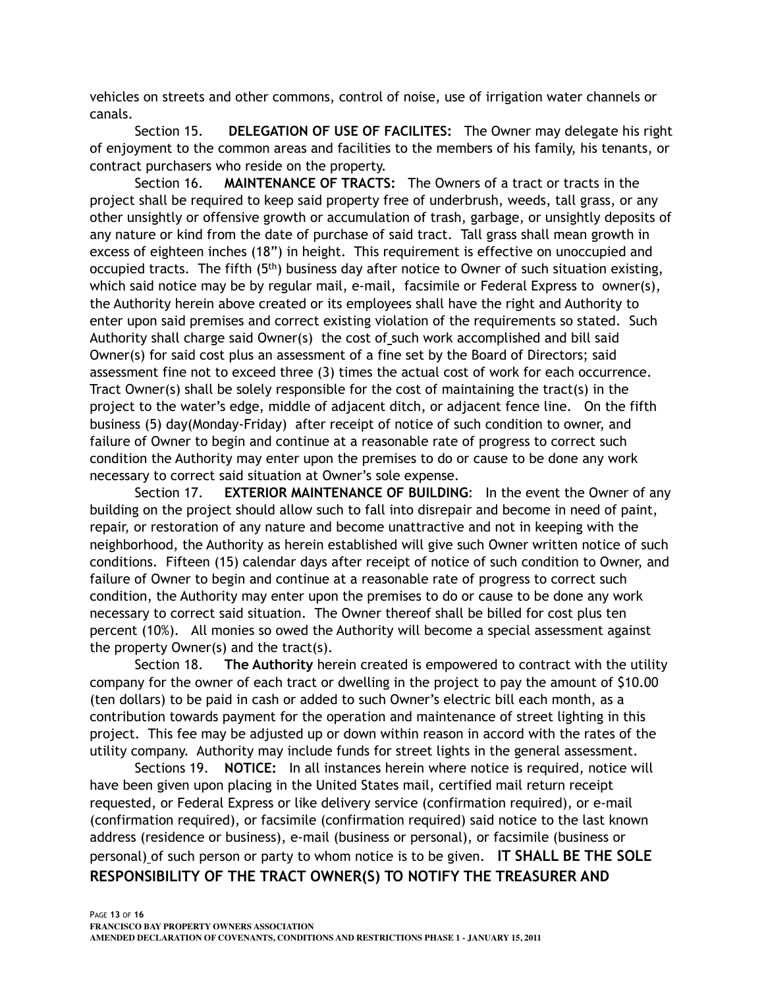vehicles on streets and other commons, control of noise, use of irrigation water channels or canals.

Section 15. **DELEGATION OF USE OF FACILITES:** The Owner may delegate his right of enjoyment to the common areas and facilities to the members of his family, his tenants, or contract purchasers who reside on the property.

Section 16. **MAINTENANCE OF TRACTS:** The Owners of a tract or tracts in the project shall be required to keep said property free of underbrush, weeds, tall grass, or any other unsightly or offensive growth or accumulation of trash, garbage, or unsightly deposits of any nature or kind from the date of purchase of said tract. Tall grass shall mean growth in excess of eighteen inches (18") in height. This requirement is effective on unoccupied and occupied tracts. The fifth  $(5<sup>th</sup>)$  business day after notice to Owner of such situation existing, which said notice may be by regular mail, e-mail, facsimile or Federal Express to owner(s), the Authority herein above created or its employees shall have the right and Authority to enter upon said premises and correct existing violation of the requirements so stated. Such Authority shall charge said Owner(s) the cost of such work accomplished and bill said Owner(s) for said cost plus an assessment of a fine set by the Board of Directors; said assessment fine not to exceed three (3) times the actual cost of work for each occurrence. Tract Owner(s) shall be solely responsible for the cost of maintaining the tract(s) in the project to the water's edge, middle of adjacent ditch, or adjacent fence line. On the fifth business (5) day(Monday-Friday) after receipt of notice of such condition to owner, and failure of Owner to begin and continue at a reasonable rate of progress to correct such condition the Authority may enter upon the premises to do or cause to be done any work necessary to correct said situation at Owner's sole expense.

Section 17. **EXTERIOR MAINTENANCE OF BUILDING**: In the event the Owner of any building on the project should allow such to fall into disrepair and become in need of paint, repair, or restoration of any nature and become unattractive and not in keeping with the neighborhood, the Authority as herein established will give such Owner written notice of such conditions. Fifteen (15) calendar days after receipt of notice of such condition to Owner, and failure of Owner to begin and continue at a reasonable rate of progress to correct such condition, the Authority may enter upon the premises to do or cause to be done any work necessary to correct said situation. The Owner thereof shall be billed for cost plus ten percent (10%). All monies so owed the Authority will become a special assessment against the property Owner(s) and the tract(s).

Section 18. **The Authority** herein created is empowered to contract with the utility company for the owner of each tract or dwelling in the project to pay the amount of \$10.00 (ten dollars) to be paid in cash or added to such Owner's electric bill each month, as a contribution towards payment for the operation and maintenance of street lighting in this project. This fee may be adjusted up or down within reason in accord with the rates of the utility company. Authority may include funds for street lights in the general assessment.

Sections 19. **NOTICE:** In all instances herein where notice is required, notice will have been given upon placing in the United States mail, certified mail return receipt requested, or Federal Express or like delivery service (confirmation required), or e-mail (confirmation required), or facsimile (confirmation required) said notice to the last known address (residence or business), e-mail (business or personal), or facsimile (business or personal) of such person or party to whom notice is to be given. **IT SHALL BE THE SOLE RESPONSIBILITY OF THE TRACT OWNER(S) TO NOTIFY THE TREASURER AND**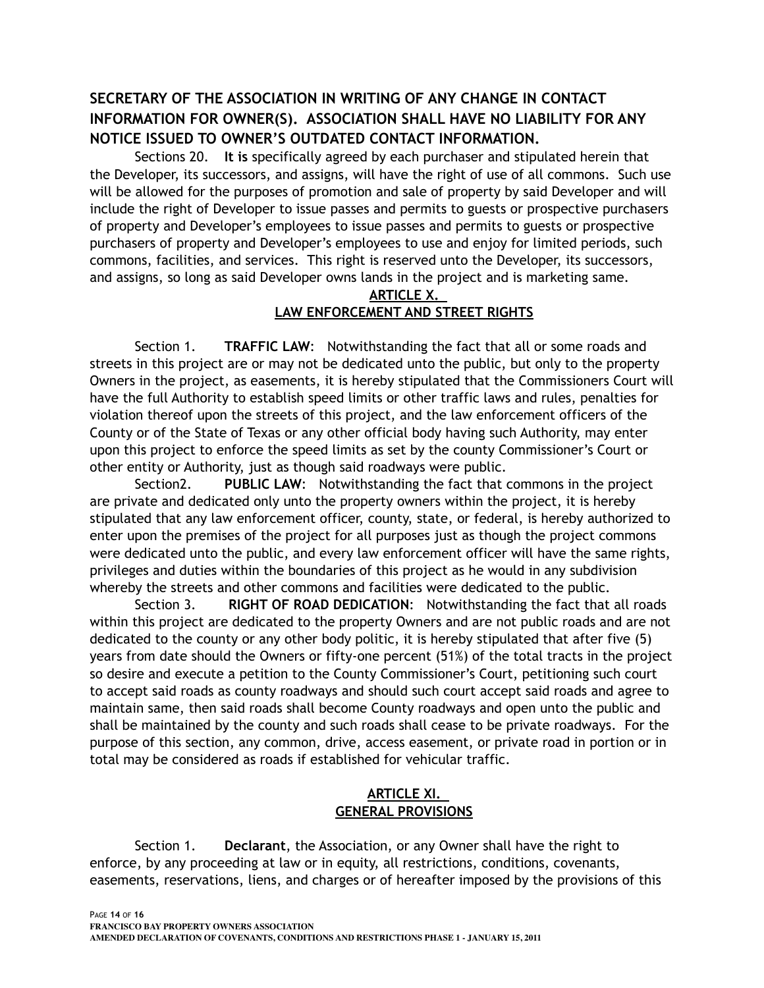# **SECRETARY OF THE ASSOCIATION IN WRITING OF ANY CHANGE IN CONTACT INFORMATION FOR OWNER(S). ASSOCIATION SHALL HAVE NO LIABILITY FOR ANY NOTICE ISSUED TO OWNER'S OUTDATED CONTACT INFORMATION.**

Sections 20. **It is** specifically agreed by each purchaser and stipulated herein that the Developer, its successors, and assigns, will have the right of use of all commons. Such use will be allowed for the purposes of promotion and sale of property by said Developer and will include the right of Developer to issue passes and permits to guests or prospective purchasers of property and Developer's employees to issue passes and permits to guests or prospective purchasers of property and Developer's employees to use and enjoy for limited periods, such commons, facilities, and services. This right is reserved unto the Developer, its successors, and assigns, so long as said Developer owns lands in the project and is marketing same.

#### **ARTICLE X. LAW ENFORCEMENT AND STREET RIGHTS**

Section 1. **TRAFFIC LAW**: Notwithstanding the fact that all or some roads and streets in this project are or may not be dedicated unto the public, but only to the property Owners in the project, as easements, it is hereby stipulated that the Commissioners Court will have the full Authority to establish speed limits or other traffic laws and rules, penalties for violation thereof upon the streets of this project, and the law enforcement officers of the County or of the State of Texas or any other official body having such Authority, may enter upon this project to enforce the speed limits as set by the county Commissioner's Court or other entity or Authority, just as though said roadways were public.

Section2. **PUBLIC LAW**: Notwithstanding the fact that commons in the project are private and dedicated only unto the property owners within the project, it is hereby stipulated that any law enforcement officer, county, state, or federal, is hereby authorized to enter upon the premises of the project for all purposes just as though the project commons were dedicated unto the public, and every law enforcement officer will have the same rights, privileges and duties within the boundaries of this project as he would in any subdivision whereby the streets and other commons and facilities were dedicated to the public.

Section 3. **RIGHT OF ROAD DEDICATION**: Notwithstanding the fact that all roads within this project are dedicated to the property Owners and are not public roads and are not dedicated to the county or any other body politic, it is hereby stipulated that after five (5) years from date should the Owners or fifty-one percent (51%) of the total tracts in the project so desire and execute a petition to the County Commissioner's Court, petitioning such court to accept said roads as county roadways and should such court accept said roads and agree to maintain same, then said roads shall become County roadways and open unto the public and shall be maintained by the county and such roads shall cease to be private roadways. For the purpose of this section, any common, drive, access easement, or private road in portion or in total may be considered as roads if established for vehicular traffic.

## **ARTICLE XI. GENERAL PROVISIONS**

Section 1. **Declarant**, the Association, or any Owner shall have the right to enforce, by any proceeding at law or in equity, all restrictions, conditions, covenants, easements, reservations, liens, and charges or of hereafter imposed by the provisions of this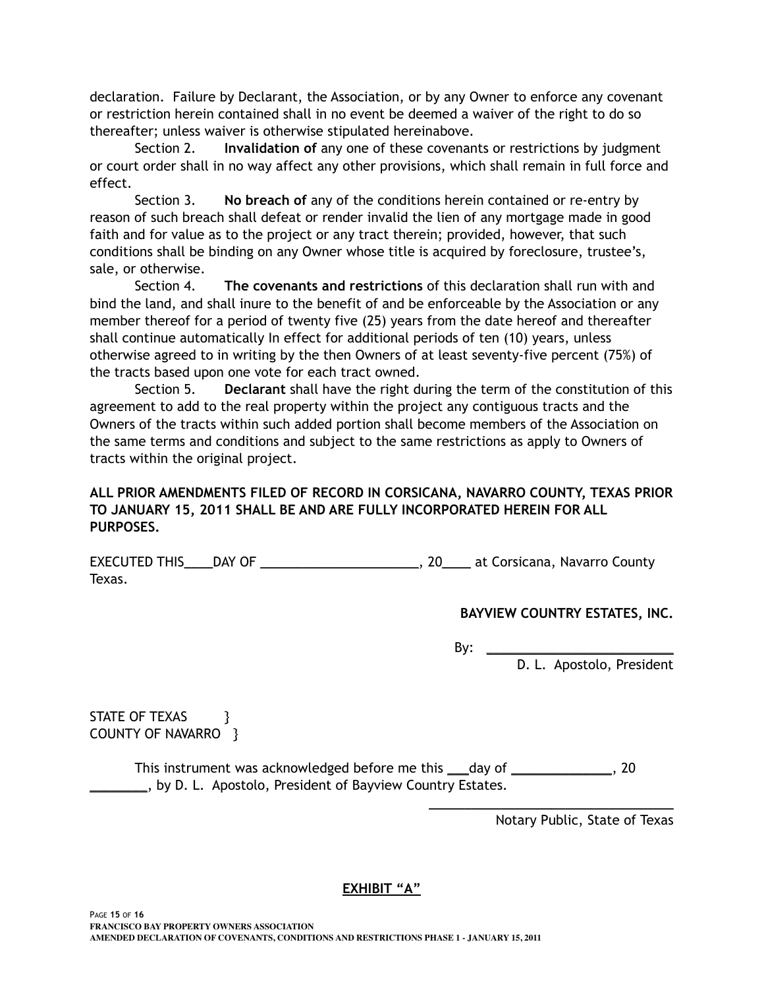declaration. Failure by Declarant, the Association, or by any Owner to enforce any covenant or restriction herein contained shall in no event be deemed a waiver of the right to do so thereafter; unless waiver is otherwise stipulated hereinabove.

Section 2. **Invalidation of** any one of these covenants or restrictions by judgment or court order shall in no way affect any other provisions, which shall remain in full force and effect.

Section 3. **No breach of** any of the conditions herein contained or re-entry by reason of such breach shall defeat or render invalid the lien of any mortgage made in good faith and for value as to the project or any tract therein; provided, however, that such conditions shall be binding on any Owner whose title is acquired by foreclosure, trustee's, sale, or otherwise.

Section 4. **The covenants and restrictions** of this declaration shall run with and bind the land, and shall inure to the benefit of and be enforceable by the Association or any member thereof for a period of twenty five (25) years from the date hereof and thereafter shall continue automatically In effect for additional periods of ten (10) years, unless otherwise agreed to in writing by the then Owners of at least seventy-five percent (75%) of the tracts based upon one vote for each tract owned.

Section 5. **Declarant** shall have the right during the term of the constitution of this agreement to add to the real property within the project any contiguous tracts and the Owners of the tracts within such added portion shall become members of the Association on the same terms and conditions and subject to the same restrictions as apply to Owners of tracts within the original project.

## **ALL PRIOR AMENDMENTS FILED OF RECORD IN CORSICANA, NAVARRO COUNTY, TEXAS PRIOR TO JANUARY 15, 2011 SHALL BE AND ARE FULLY INCORPORATED HEREIN FOR ALL PURPOSES.**

EXECUTED THIS\_\_\_\_DAY OF \_\_\_\_\_\_\_\_\_\_\_\_\_\_\_\_\_\_\_\_\_\_\_\_\_\_\_, 20\_\_\_\_\_ at Corsicana, Navarro County Texas.

## **BAYVIEW COUNTRY ESTATES, INC.**

By:  $\_\_$ 

 $\overline{\phantom{a}}$  , and the set of the set of the set of the set of the set of the set of the set of the set of the set of the set of the set of the set of the set of the set of the set of the set of the set of the set of the s

D. L. Apostolo, President

STATE OF TEXAS } COUNTY OF NAVARRO }

This instrument was acknowledged before me this \_\_\_day of \_\_\_\_\_\_\_\_\_\_\_\_\_\_, 20 **EXECUTE:** by D. L. Apostolo, President of Bayview Country Estates.

Notary Public, State of Texas

## **EXHIBIT "A"**